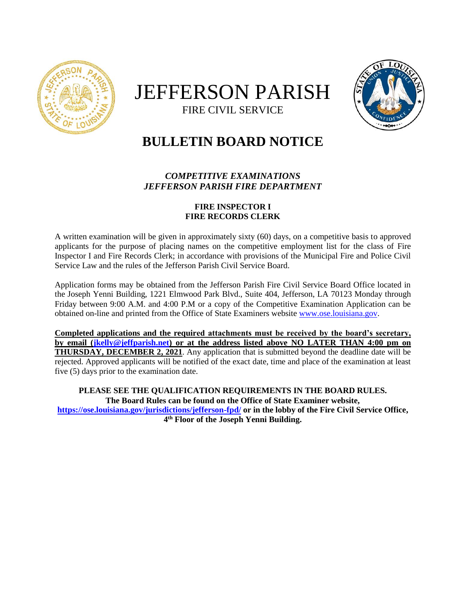

# JEFFERSON PARISH FIRE CIVIL SERVICE



# **BULLETIN BOARD NOTICE**

## *COMPETITIVE EXAMINATIONS JEFFERSON PARISH FIRE DEPARTMENT*

### **FIRE INSPECTOR I FIRE RECORDS CLERK**

A written examination will be given in approximately sixty (60) days, on a competitive basis to approved applicants for the purpose of placing names on the competitive employment list for the class of Fire Inspector I and Fire Records Clerk; in accordance with provisions of the Municipal Fire and Police Civil Service Law and the rules of the Jefferson Parish Civil Service Board.

Application forms may be obtained from the Jefferson Parish Fire Civil Service Board Office located in the Joseph Yenni Building, 1221 Elmwood Park Blvd., Suite 404, Jefferson, LA 70123 Monday through Friday between 9:00 A.M. and 4:00 P.M or a copy of the Competitive Examination Application can be obtained on-line and printed from the Office of State Examiners website [www.ose.louisiana.gov.](http://www.ose.louisiana.gov/)

**Completed applications and the required attachments must be received by the board's secretary, by email [\(jkelly@jeffparish.net\)](mailto:jkelly@jeffparish.net) or at the address listed above NO LATER THAN 4:00 pm on THURSDAY, DECEMBER 2, 2021**. Any application that is submitted beyond the deadline date will be rejected. Approved applicants will be notified of the exact date, time and place of the examination at least five (5) days prior to the examination date.

**PLEASE SEE THE QUALIFICATION REQUIREMENTS IN THE BOARD RULES. The Board Rules can be found on the Office of State Examiner website, <https://ose.louisiana.gov/jurisdictions/jefferson-fpd/> or in the lobby of the Fire Civil Service Office, 4 th Floor of the Joseph Yenni Building.**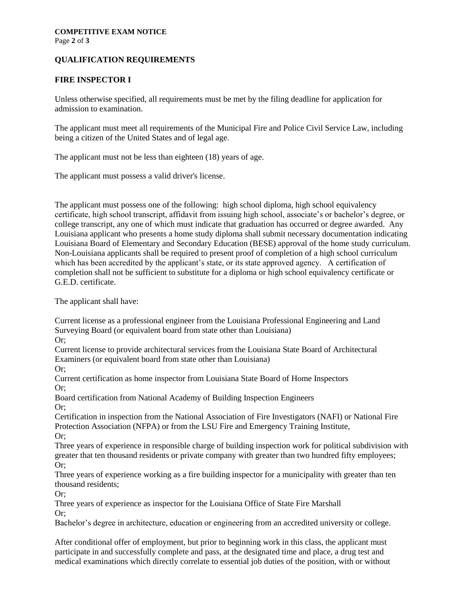Page **2** of **3**

#### **QUALIFICATION REQUIREMENTS**

#### **FIRE INSPECTOR I**

Unless otherwise specified, all requirements must be met by the filing deadline for application for admission to examination.

The applicant must meet all requirements of the Municipal Fire and Police Civil Service Law, including being a citizen of the United States and of legal age.

The applicant must not be less than eighteen (18) years of age.

The applicant must possess a valid driver's license.

The applicant must possess one of the following: high school diploma, high school equivalency certificate, high school transcript, affidavit from issuing high school, associate's or bachelor's degree, or college transcript, any one of which must indicate that graduation has occurred or degree awarded. Any Louisiana applicant who presents a home study diploma shall submit necessary documentation indicating Louisiana Board of Elementary and Secondary Education (BESE) approval of the home study curriculum. Non-Louisiana applicants shall be required to present proof of completion of a high school curriculum which has been accredited by the applicant's state, or its state approved agency. A certification of completion shall not be sufficient to substitute for a diploma or high school equivalency certificate or G.E.D. certificate.

The applicant shall have:

Current license as a professional engineer from the Louisiana Professional Engineering and Land Surveying Board (or equivalent board from state other than Louisiana)

Or;

Current license to provide architectural services from the Louisiana State Board of Architectural Examiners (or equivalent board from state other than Louisiana)

Or;

Current certification as home inspector from Louisiana State Board of Home Inspectors Or;

Board certification from National Academy of Building Inspection Engineers Or;

Certification in inspection from the National Association of Fire Investigators (NAFI) or National Fire Protection Association (NFPA) or from the LSU Fire and Emergency Training Institute, Or;

Three years of experience in responsible charge of building inspection work for political subdivision with greater that ten thousand residents or private company with greater than two hundred fifty employees; Or;

Three years of experience working as a fire building inspector for a municipality with greater than ten thousand residents;

Or;

Three years of experience as inspector for the Louisiana Office of State Fire Marshall Or;

Bachelor's degree in architecture, education or engineering from an accredited university or college.

After conditional offer of employment, but prior to beginning work in this class, the applicant must participate in and successfully complete and pass, at the designated time and place, a drug test and medical examinations which directly correlate to essential job duties of the position, with or without